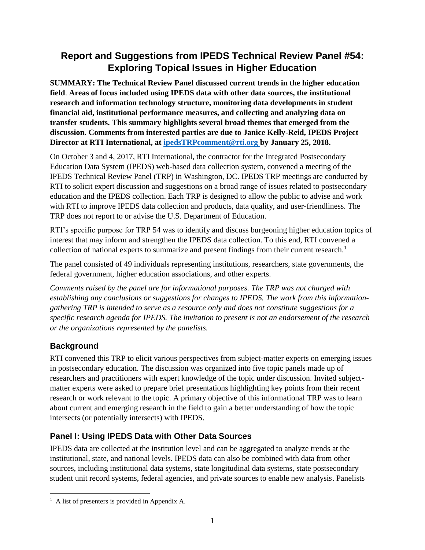# **Report and Suggestions from IPEDS Technical Review Panel #54: Exploring Topical Issues in Higher Education**

**SUMMARY: The Technical Review Panel discussed current trends in the higher education field**. **Areas of focus included using IPEDS data with other data sources, the institutional research and information technology structure, monitoring data developments in student financial aid, institutional performance measures, and collecting and analyzing data on transfer students. This summary highlights several broad themes that emerged from the discussion. Comments from interested parties are due to Janice Kelly-Reid, IPEDS Project Director at RTI International, at [ipedsTRPcomment@rti.org](mailto:ipedsTRPcomment@rti.org) by January 25, 2018.**

On October 3 and 4, 2017, RTI International, the contractor for the Integrated Postsecondary Education Data System (IPEDS) web-based data collection system, convened a meeting of the IPEDS Technical Review Panel (TRP) in Washington, DC. IPEDS TRP meetings are conducted by RTI to solicit expert discussion and suggestions on a broad range of issues related to postsecondary education and the IPEDS collection. Each TRP is designed to allow the public to advise and work with RTI to improve IPEDS data collection and products, data quality, and user-friendliness. The TRP does not report to or advise the U.S. Department of Education.

RTI's specific purpose for TRP 54 was to identify and discuss burgeoning higher education topics of interest that may inform and strengthen the IPEDS data collection. To this end, RTI convened a collection of national experts to summarize and present findings from their current research.<sup>1</sup>

The panel consisted of 49 individuals representing institutions, researchers, state governments, the federal government, higher education associations, and other experts.

*Comments raised by the panel are for informational purposes. The TRP was not charged with establishing any conclusions or suggestions for changes to IPEDS. The work from this informationgathering TRP is intended to serve as a resource only and does not constitute suggestions for a specific research agenda for IPEDS. The invitation to present is not an endorsement of the research or the organizations represented by the panelists.* 

# **Background**

RTI convened this TRP to elicit various perspectives from subject-matter experts on emerging issues in postsecondary education. The discussion was organized into five topic panels made up of researchers and practitioners with expert knowledge of the topic under discussion. Invited subjectmatter experts were asked to prepare brief presentations highlighting key points from their recent research or work relevant to the topic. A primary objective of this informational TRP was to learn about current and emerging research in the field to gain a better understanding of how the topic intersects (or potentially intersects) with IPEDS.

# **Panel I: Using IPEDS Data with Other Data Sources**

IPEDS data are collected at the institution level and can be aggregated to analyze trends at the institutional, state, and national levels. IPEDS data can also be combined with data from other sources, including institutional data systems, state longitudinal data systems, state postsecondary student unit record systems, federal agencies, and private sources to enable new analysis. Panelists

  $<sup>1</sup>$  A list of presenters is provided in Appendix A.</sup>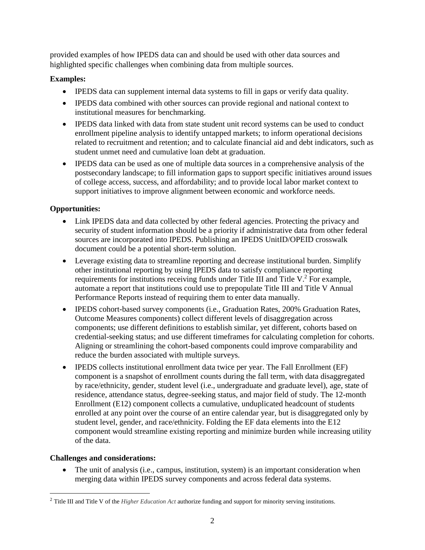provided examples of how IPEDS data can and should be used with other data sources and highlighted specific challenges when combining data from multiple sources.

## **Examples:**

- IPEDS data can supplement internal data systems to fill in gaps or verify data quality.
- IPEDS data combined with other sources can provide regional and national context to institutional measures for benchmarking.
- IPEDS data linked with data from state student unit record systems can be used to conduct enrollment pipeline analysis to identify untapped markets; to inform operational decisions related to recruitment and retention; and to calculate financial aid and debt indicators, such as student unmet need and cumulative loan debt at graduation.
- IPEDS data can be used as one of multiple data sources in a comprehensive analysis of the postsecondary landscape; to fill information gaps to support specific initiatives around issues of college access, success, and affordability; and to provide local labor market context to support initiatives to improve alignment between economic and workforce needs.

## **Opportunities:**

- Link IPEDS data and data collected by other federal agencies. Protecting the privacy and security of student information should be a priority if administrative data from other federal sources are incorporated into IPEDS. Publishing an IPEDS UnitID/OPEID crosswalk document could be a potential short-term solution.
- Leverage existing data to streamline reporting and decrease institutional burden. Simplify other institutional reporting by using IPEDS data to satisfy compliance reporting requirements for institutions receiving funds under Title III and Title V. $^2$  For example, automate a report that institutions could use to prepopulate Title III and Title V Annual Performance Reports instead of requiring them to enter data manually.
- IPEDS cohort-based survey components (i.e., Graduation Rates, 200% Graduation Rates, Outcome Measures components) collect different levels of disaggregation across components; use different definitions to establish similar, yet different, cohorts based on credential-seeking status; and use different timeframes for calculating completion for cohorts. Aligning or streamlining the cohort-based components could improve comparability and reduce the burden associated with multiple surveys.
- IPEDS collects institutional enrollment data twice per year. The Fall Enrollment (EF) component is a snapshot of enrollment counts during the fall term, with data disaggregated by race/ethnicity, gender, student level (i.e., undergraduate and graduate level), age, state of residence, attendance status, degree-seeking status, and major field of study. The 12-month Enrollment (E12) component collects a cumulative, unduplicated headcount of students enrolled at any point over the course of an entire calendar year, but is disaggregated only by student level, gender, and race/ethnicity. Folding the EF data elements into the E12 component would streamline existing reporting and minimize burden while increasing utility of the data.

### **Challenges and considerations:**

• The unit of analysis (i.e., campus, institution, system) is an important consideration when merging data within IPEDS survey components and across federal data systems.

<sup>2</sup> Title III and Title V of the *Higher Education Act* authorize funding and support for minority serving institutions.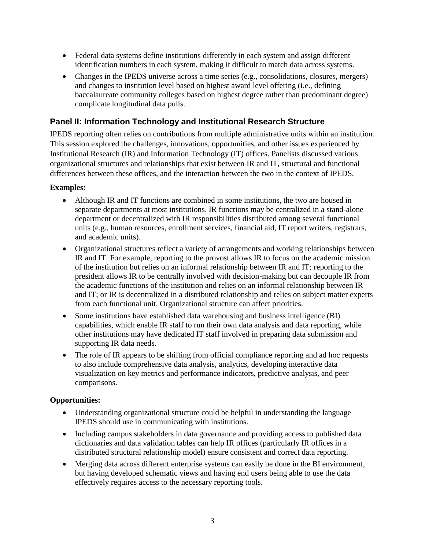- Federal data systems define institutions differently in each system and assign different identification numbers in each system, making it difficult to match data across systems.
- Changes in the IPEDS universe across a time series (e.g., consolidations, closures, mergers) and changes to institution level based on highest award level offering (i.e., defining baccalaureate community colleges based on highest degree rather than predominant degree) complicate longitudinal data pulls.

## **Panel II: Information Technology and Institutional Research Structure**

IPEDS reporting often relies on contributions from multiple administrative units within an institution. This session explored the challenges, innovations, opportunities, and other issues experienced by Institutional Research (IR) and Information Technology (IT) offices. Panelists discussed various organizational structures and relationships that exist between IR and IT, structural and functional differences between these offices, and the interaction between the two in the context of IPEDS.

### **Examples:**

- Although IR and IT functions are combined in some institutions, the two are housed in separate departments at most institutions. IR functions may be centralized in a stand-alone department or decentralized with IR responsibilities distributed among several functional units (e.g., human resources, enrollment services, financial aid, IT report writers, registrars, and academic units).
- Organizational structures reflect a variety of arrangements and working relationships between IR and IT. For example, reporting to the provost allows IR to focus on the academic mission of the institution but relies on an informal relationship between IR and IT; reporting to the president allows IR to be centrally involved with decision-making but can decouple IR from the academic functions of the institution and relies on an informal relationship between IR and IT; or IR is decentralized in a distributed relationship and relies on subject matter experts from each functional unit. Organizational structure can affect priorities.
- Some institutions have established data warehousing and business intelligence (BI) capabilities, which enable IR staff to run their own data analysis and data reporting, while other institutions may have dedicated IT staff involved in preparing data submission and supporting IR data needs.
- The role of IR appears to be shifting from official compliance reporting and ad hoc requests to also include comprehensive data analysis, analytics, developing interactive data visualization on key metrics and performance indicators, predictive analysis, and peer comparisons.

### **Opportunities:**

- Understanding organizational structure could be helpful in understanding the language IPEDS should use in communicating with institutions.
- Including campus stakeholders in data governance and providing access to published data dictionaries and data validation tables can help IR offices (particularly IR offices in a distributed structural relationship model) ensure consistent and correct data reporting.
- Merging data across different enterprise systems can easily be done in the BI environment, but having developed schematic views and having end users being able to use the data effectively requires access to the necessary reporting tools.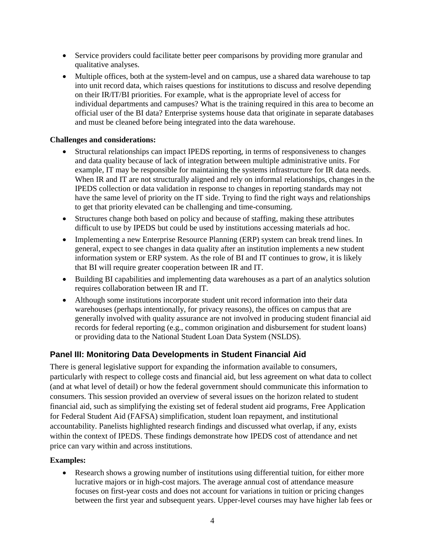- Service providers could facilitate better peer comparisons by providing more granular and qualitative analyses.
- Multiple offices, both at the system-level and on campus, use a shared data warehouse to tap into unit record data, which raises questions for institutions to discuss and resolve depending on their IR/IT/BI priorities. For example, what is the appropriate level of access for individual departments and campuses? What is the training required in this area to become an official user of the BI data? Enterprise systems house data that originate in separate databases and must be cleaned before being integrated into the data warehouse.

### **Challenges and considerations:**

- Structural relationships can impact IPEDS reporting, in terms of responsiveness to changes and data quality because of lack of integration between multiple administrative units. For example, IT may be responsible for maintaining the systems infrastructure for IR data needs. When IR and IT are not structurally aligned and rely on informal relationships, changes in the IPEDS collection or data validation in response to changes in reporting standards may not have the same level of priority on the IT side. Trying to find the right ways and relationships to get that priority elevated can be challenging and time-consuming.
- Structures change both based on policy and because of staffing, making these attributes difficult to use by IPEDS but could be used by institutions accessing materials ad hoc.
- Implementing a new Enterprise Resource Planning (ERP) system can break trend lines. In general, expect to see changes in data quality after an institution implements a new student information system or ERP system. As the role of BI and IT continues to grow, it is likely that BI will require greater cooperation between IR and IT.
- Building BI capabilities and implementing data warehouses as a part of an analytics solution requires collaboration between IR and IT.
- Although some institutions incorporate student unit record information into their data warehouses (perhaps intentionally, for privacy reasons), the offices on campus that are generally involved with quality assurance are not involved in producing student financial aid records for federal reporting (e.g., common origination and disbursement for student loans) or providing data to the National Student Loan Data System (NSLDS).

## **Panel III: Monitoring Data Developments in Student Financial Aid**

There is general legislative support for expanding the information available to consumers, particularly with respect to college costs and financial aid, but less agreement on what data to collect (and at what level of detail) or how the federal government should communicate this information to consumers. This session provided an overview of several issues on the horizon related to student financial aid, such as simplifying the existing set of federal student aid programs, Free Application for Federal Student Aid (FAFSA) simplification, student loan repayment, and institutional accountability. Panelists highlighted research findings and discussed what overlap, if any, exists within the context of IPEDS. These findings demonstrate how IPEDS cost of attendance and net price can vary within and across institutions.

### **Examples:**

• Research shows a growing number of institutions using differential tuition, for either more lucrative majors or in high-cost majors. The average annual cost of attendance measure focuses on first-year costs and does not account for variations in tuition or pricing changes between the first year and subsequent years. Upper-level courses may have higher lab fees or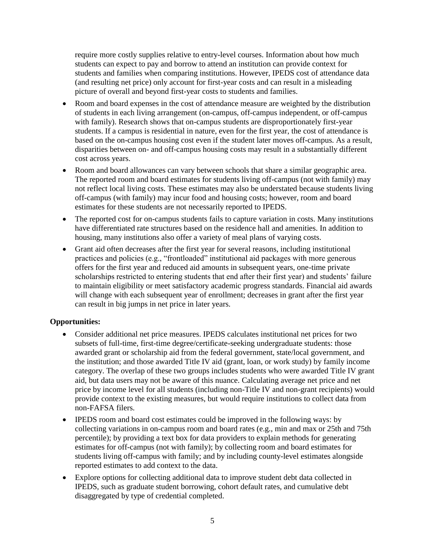require more costly supplies relative to entry-level courses. Information about how much students can expect to pay and borrow to attend an institution can provide context for students and families when comparing institutions. However, IPEDS cost of attendance data (and resulting net price) only account for first-year costs and can result in a misleading picture of overall and beyond first-year costs to students and families.

- Room and board expenses in the cost of attendance measure are weighted by the distribution of students in each living arrangement (on-campus, off-campus independent, or off-campus with family). Research shows that on-campus students are disproportionately first-year students. If a campus is residential in nature, even for the first year, the cost of attendance is based on the on-campus housing cost even if the student later moves off-campus. As a result, disparities between on- and off-campus housing costs may result in a substantially different cost across years.
- Room and board allowances can vary between schools that share a similar geographic area. The reported room and board estimates for students living off-campus (not with family) may not reflect local living costs. These estimates may also be understated because students living off-campus (with family) may incur food and housing costs; however, room and board estimates for these students are not necessarily reported to IPEDS.
- The reported cost for on-campus students fails to capture variation in costs. Many institutions have differentiated rate structures based on the residence hall and amenities. In addition to housing, many institutions also offer a variety of meal plans of varying costs.
- Grant aid often decreases after the first year for several reasons, including institutional practices and policies (e.g., "frontloaded" institutional aid packages with more generous offers for the first year and reduced aid amounts in subsequent years, one-time private scholarships restricted to entering students that end after their first year) and students' failure to maintain eligibility or meet satisfactory academic progress standards. Financial aid awards will change with each subsequent year of enrollment; decreases in grant after the first year can result in big jumps in net price in later years.

### **Opportunities:**

- Consider additional net price measures. IPEDS calculates institutional net prices for two subsets of full-time, first-time degree/certificate-seeking undergraduate students: those awarded grant or scholarship aid from the federal government, state/local government, and the institution; and those awarded Title IV aid (grant, loan, or work study) by family income category. The overlap of these two groups includes students who were awarded Title IV grant aid, but data users may not be aware of this nuance. Calculating average net price and net price by income level for all students (including non-Title IV and non-grant recipients) would provide context to the existing measures, but would require institutions to collect data from non-FAFSA filers.
- IPEDS room and board cost estimates could be improved in the following ways: by collecting variations in on-campus room and board rates (e.g., min and max or 25th and 75th percentile); by providing a text box for data providers to explain methods for generating estimates for off-campus (not with family); by collecting room and board estimates for students living off-campus with family; and by including county-level estimates alongside reported estimates to add context to the data.
- Explore options for collecting additional data to improve student debt data collected in IPEDS, such as graduate student borrowing, cohort default rates, and cumulative debt disaggregated by type of credential completed.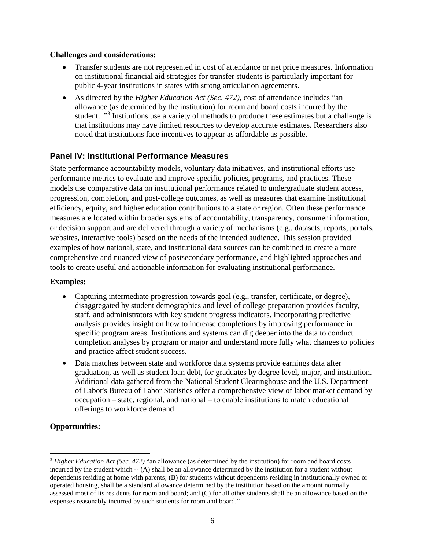#### **Challenges and considerations:**

- Transfer students are not represented in cost of attendance or net price measures. Information on institutional financial aid strategies for transfer students is particularly important for public 4-year institutions in states with strong articulation agreements.
- As directed by the *Higher Education Act (Sec. 472)*, cost of attendance includes "an allowance (as determined by the institution) for room and board costs incurred by the student..."<sup>3</sup> Institutions use a variety of methods to produce these estimates but a challenge is that institutions may have limited resources to develop accurate estimates. Researchers also noted that institutions face incentives to appear as affordable as possible.

## **Panel IV: Institutional Performance Measures**

State performance accountability models, voluntary data initiatives, and institutional efforts use performance metrics to evaluate and improve specific policies, programs, and practices. These models use comparative data on institutional performance related to undergraduate student access, progression, completion, and post-college outcomes, as well as measures that examine institutional efficiency, equity, and higher education contributions to a state or region. Often these performance measures are located within broader systems of accountability, transparency, consumer information, or decision support and are delivered through a variety of mechanisms (e.g., datasets, reports, portals, websites, interactive tools) based on the needs of the intended audience. This session provided examples of how national, state, and institutional data sources can be combined to create a more comprehensive and nuanced view of postsecondary performance, and highlighted approaches and tools to create useful and actionable information for evaluating institutional performance.

### **Examples:**

- Capturing intermediate progression towards goal (e.g., transfer, certificate, or degree), disaggregated by student demographics and level of college preparation provides faculty, staff, and administrators with key student progress indicators. Incorporating predictive analysis provides insight on how to increase completions by improving performance in specific program areas. Institutions and systems can dig deeper into the data to conduct completion analyses by program or major and understand more fully what changes to policies and practice affect student success.
- Data matches between state and workforce data systems provide earnings data after graduation, as well as student loan debt, for graduates by degree level, major, and institution. Additional data gathered from the National Student Clearinghouse and the U.S. Department of Labor's Bureau of Labor Statistics offer a comprehensive view of labor market demand by occupation – state, regional, and national – to enable institutions to match educational offerings to workforce demand.

## **Opportunities:**

 $\overline{\phantom{a}}$ 

<sup>3</sup> *Higher Education Act (Sec. 472)* "an allowance (as determined by the institution) for room and board costs incurred by the student which -- (A) shall be an allowance determined by the institution for a student without dependents residing at home with parents; (B) for students without dependents residing in institutionally owned or operated housing, shall be a standard allowance determined by the institution based on the amount normally assessed most of its residents for room and board; and (C) for all other students shall be an allowance based on the expenses reasonably incurred by such students for room and board."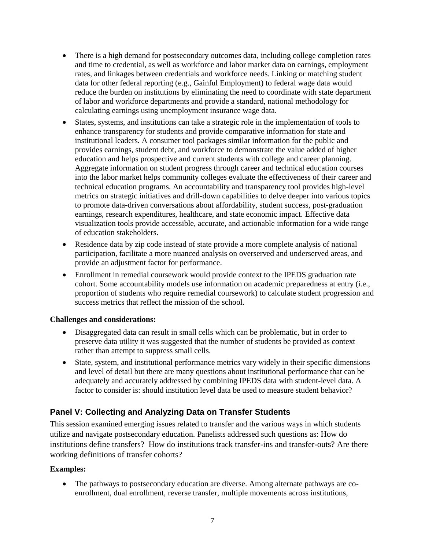- There is a high demand for postsecondary outcomes data, including college completion rates and time to credential, as well as workforce and labor market data on earnings, employment rates, and linkages between credentials and workforce needs. Linking or matching student data for other federal reporting (e.g., Gainful Employment) to federal wage data would reduce the burden on institutions by eliminating the need to coordinate with state department of labor and workforce departments and provide a standard, national methodology for calculating earnings using unemployment insurance wage data.
- States, systems, and institutions can take a strategic role in the implementation of tools to enhance transparency for students and provide comparative information for state and institutional leaders. A consumer tool packages similar information for the public and provides earnings, student debt, and workforce to demonstrate the value added of higher education and helps prospective and current students with college and career planning. Aggregate information on student progress through career and technical education courses into the labor market helps community colleges evaluate the effectiveness of their career and technical education programs. An accountability and transparency tool provides high-level metrics on strategic initiatives and drill-down capabilities to delve deeper into various topics to promote data-driven conversations about affordability, student success, post-graduation earnings, research expenditures, healthcare, and state economic impact. Effective data visualization tools provide accessible, accurate, and actionable information for a wide range of education stakeholders.
- Residence data by zip code instead of state provide a more complete analysis of national participation, facilitate a more nuanced analysis on overserved and underserved areas, and provide an adjustment factor for performance.
- Enrollment in remedial coursework would provide context to the IPEDS graduation rate cohort. Some accountability models use information on academic preparedness at entry (i.e., proportion of students who require remedial coursework) to calculate student progression and success metrics that reflect the mission of the school.

### **Challenges and considerations:**

- Disaggregated data can result in small cells which can be problematic, but in order to preserve data utility it was suggested that the number of students be provided as context rather than attempt to suppress small cells.
- State, system, and institutional performance metrics vary widely in their specific dimensions and level of detail but there are many questions about institutional performance that can be adequately and accurately addressed by combining IPEDS data with student-level data. A factor to consider is: should institution level data be used to measure student behavior?

# **Panel V: Collecting and Analyzing Data on Transfer Students**

This session examined emerging issues related to transfer and the various ways in which students utilize and navigate postsecondary education. Panelists addressed such questions as: How do institutions define transfers? How do institutions track transfer-ins and transfer-outs? Are there working definitions of transfer cohorts?

## **Examples:**

• The pathways to postsecondary education are diverse. Among alternate pathways are coenrollment, dual enrollment, reverse transfer, multiple movements across institutions,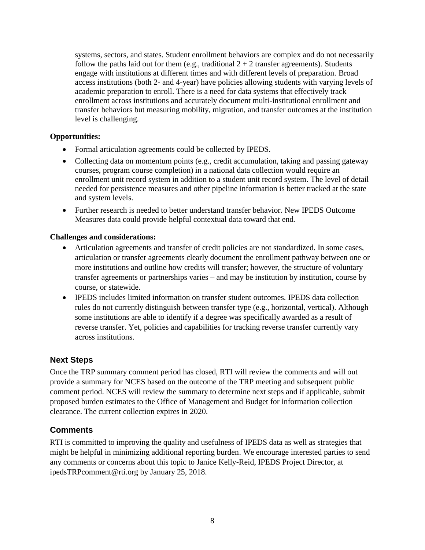systems, sectors, and states. Student enrollment behaviors are complex and do not necessarily follow the paths laid out for them (e.g., traditional  $2 + 2$  transfer agreements). Students engage with institutions at different times and with different levels of preparation. Broad access institutions (both 2- and 4-year) have policies allowing students with varying levels of academic preparation to enroll. There is a need for data systems that effectively track enrollment across institutions and accurately document multi-institutional enrollment and transfer behaviors but measuring mobility, migration, and transfer outcomes at the institution level is challenging.

### **Opportunities:**

- Formal articulation agreements could be collected by IPEDS.
- Collecting data on momentum points (e.g., credit accumulation, taking and passing gateway courses, program course completion) in a national data collection would require an enrollment unit record system in addition to a student unit record system. The level of detail needed for persistence measures and other pipeline information is better tracked at the state and system levels.
- Further research is needed to better understand transfer behavior. New IPEDS Outcome Measures data could provide helpful contextual data toward that end.

### **Challenges and considerations:**

- Articulation agreements and transfer of credit policies are not standardized. In some cases, articulation or transfer agreements clearly document the enrollment pathway between one or more institutions and outline how credits will transfer; however, the structure of voluntary transfer agreements or partnerships varies – and may be institution by institution, course by course, or statewide.
- IPEDS includes limited information on transfer student outcomes. IPEDS data collection rules do not currently distinguish between transfer type (e.g., horizontal, vertical). Although some institutions are able to identify if a degree was specifically awarded as a result of reverse transfer. Yet, policies and capabilities for tracking reverse transfer currently vary across institutions.

## **Next Steps**

Once the TRP summary comment period has closed, RTI will review the comments and will out provide a summary for NCES based on the outcome of the TRP meeting and subsequent public comment period. NCES will review the summary to determine next steps and if applicable, submit proposed burden estimates to the Office of Management and Budget for information collection clearance. The current collection expires in 2020.

## **Comments**

RTI is committed to improving the quality and usefulness of IPEDS data as well as strategies that might be helpful in minimizing additional reporting burden. We encourage interested parties to send any comments or concerns about this topic to Janice Kelly-Reid, IPEDS Project Director, at [ipedsTRPcomment@rti.org](mailto:ipedsTRPcomment@rti.org) by January 25, 2018.